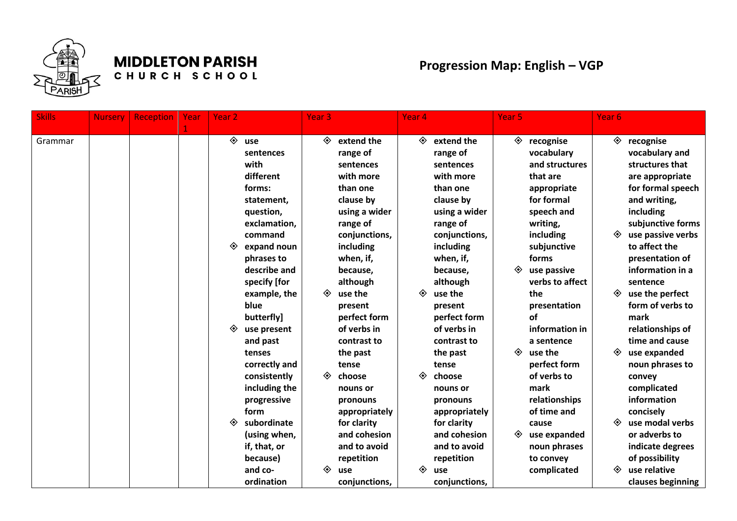

## **MIDDLETON PARISH**

CHURCH SCHOOL

## **Progression Map: English – VGP**

|                          | <b>Nursery</b> | <b>Reception</b> | Year | Year <sub>2</sub> |                                                                                                                                                                                                                      | Year <sub>3</sub> |                                                                                                                                                                                                                    | Year <sub>4</sub> |                                                                                                                                                                                                                    | Year <sub>5</sub> |                                                                                                                                                                                                           | Year <sub>6</sub> |                                                                                                                                                                                                                                                                       |
|--------------------------|----------------|------------------|------|-------------------|----------------------------------------------------------------------------------------------------------------------------------------------------------------------------------------------------------------------|-------------------|--------------------------------------------------------------------------------------------------------------------------------------------------------------------------------------------------------------------|-------------------|--------------------------------------------------------------------------------------------------------------------------------------------------------------------------------------------------------------------|-------------------|-----------------------------------------------------------------------------------------------------------------------------------------------------------------------------------------------------------|-------------------|-----------------------------------------------------------------------------------------------------------------------------------------------------------------------------------------------------------------------------------------------------------------------|
| <b>Skills</b><br>Grammar |                |                  | 1    | ◈<br>◈            | use<br>sentences<br>with<br>different<br>forms:<br>statement,<br>question,<br>exclamation,<br>command<br>expand noun<br>phrases to<br>describe and<br>specify [for<br>example, the                                   | ◈<br>◈            | extend the<br>range of<br>sentences<br>with more<br>than one<br>clause by<br>using a wider<br>range of<br>conjunctions,<br>including<br>when, if,<br>because,<br>although<br>use the                               | ◈<br>◈            | extend the<br>range of<br>sentences<br>with more<br>than one<br>clause by<br>using a wider<br>range of<br>conjunctions,<br>including<br>when, if,<br>because,<br>although<br>use the                               | ◈<br>◈            | recognise<br>vocabulary<br>and structures<br>that are<br>appropriate<br>for formal<br>speech and<br>writing,<br>including<br>subjunctive<br>forms<br>use passive<br>verbs to affect<br>the                | ◈<br>◈<br>◈       | recognise<br>vocabulary and<br>structures that<br>are appropriate<br>for formal speech<br>and writing,<br>including<br>subjunctive forms<br>use passive verbs<br>to affect the<br>presentation of<br>information in a<br>sentence<br>use the perfect                  |
|                          |                |                  |      | ◈<br>◈            | blue<br>butterfly]<br>use present<br>and past<br>tenses<br>correctly and<br>consistently<br>including the<br>progressive<br>form<br>subordinate<br>(using when,<br>if, that, or<br>because)<br>and co-<br>ordination | ◈<br>◈            | present<br>perfect form<br>of verbs in<br>contrast to<br>the past<br>tense<br>choose<br>nouns or<br>pronouns<br>appropriately<br>for clarity<br>and cohesion<br>and to avoid<br>repetition<br>use<br>conjunctions, | ◈<br>◈            | present<br>perfect form<br>of verbs in<br>contrast to<br>the past<br>tense<br>choose<br>nouns or<br>pronouns<br>appropriately<br>for clarity<br>and cohesion<br>and to avoid<br>repetition<br>use<br>conjunctions, | ◈<br>◈            | presentation<br>of<br>information in<br>a sentence<br>use the<br>perfect form<br>of verbs to<br>mark<br>relationships<br>of time and<br>cause<br>use expanded<br>noun phrases<br>to convey<br>complicated | ◈<br>◈<br>◈       | form of verbs to<br>mark<br>relationships of<br>time and cause<br>use expanded<br>noun phrases to<br>convey<br>complicated<br>information<br>concisely<br>use modal verbs<br>or adverbs to<br>indicate degrees<br>of possibility<br>use relative<br>clauses beginning |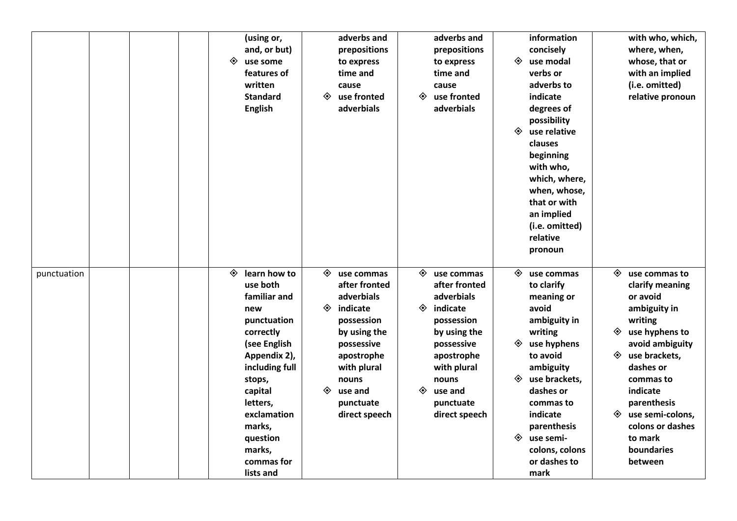|             |  | ◈ | (using or,<br>and, or but)<br>use some<br>features of<br>written<br><b>Standard</b><br><b>English</b>                                                                                                                                    | ◈           | adverbs and<br>prepositions<br>to express<br>time and<br>cause<br>use fronted<br>adverbials                                                                                      | ◈           | adverbs and<br>prepositions<br>to express<br>time and<br>cause<br>use fronted<br>adverbials                                                                                      | ◈<br>◈           | information<br>concisely<br>use modal<br>verbs or<br>adverbs to<br>indicate<br>degrees of<br>possibility<br>use relative<br>clauses<br>beginning<br>with who,<br>which, where,<br>when, whose,<br>that or with<br>an implied<br>(i.e. omitted)<br>relative<br>pronoun |                  | with who, which,<br>where, when,<br>whose, that or<br>with an implied<br>(i.e. omitted)<br>relative pronoun                                                                                                                                                    |
|-------------|--|---|------------------------------------------------------------------------------------------------------------------------------------------------------------------------------------------------------------------------------------------|-------------|----------------------------------------------------------------------------------------------------------------------------------------------------------------------------------|-------------|----------------------------------------------------------------------------------------------------------------------------------------------------------------------------------|------------------|-----------------------------------------------------------------------------------------------------------------------------------------------------------------------------------------------------------------------------------------------------------------------|------------------|----------------------------------------------------------------------------------------------------------------------------------------------------------------------------------------------------------------------------------------------------------------|
| punctuation |  | ◈ | learn how to<br>use both<br>familiar and<br>new<br>punctuation<br>correctly<br>(see English<br>Appendix 2),<br>including full<br>stops,<br>capital<br>letters,<br>exclamation<br>marks,<br>question<br>marks,<br>commas for<br>lists and | ◈<br>◈<br>◈ | use commas<br>after fronted<br>adverbials<br>indicate<br>possession<br>by using the<br>possessive<br>apostrophe<br>with plural<br>nouns<br>use and<br>punctuate<br>direct speech | ◈<br>◈<br>◈ | use commas<br>after fronted<br>adverbials<br>indicate<br>possession<br>by using the<br>possessive<br>apostrophe<br>with plural<br>nouns<br>use and<br>punctuate<br>direct speech | ◈<br>◈<br>◈<br>◈ | use commas<br>to clarify<br>meaning or<br>avoid<br>ambiguity in<br>writing<br>use hyphens<br>to avoid<br>ambiguity<br>use brackets,<br>dashes or<br>commas to<br>indicate<br>parenthesis<br>use semi-<br>colons, colons<br>or dashes to<br>mark                       | ◈<br>◈<br>◈<br>◈ | use commas to<br>clarify meaning<br>or avoid<br>ambiguity in<br>writing<br>use hyphens to<br>avoid ambiguity<br>use brackets,<br>dashes or<br>commas to<br>indicate<br>parenthesis<br>use semi-colons,<br>colons or dashes<br>to mark<br>boundaries<br>between |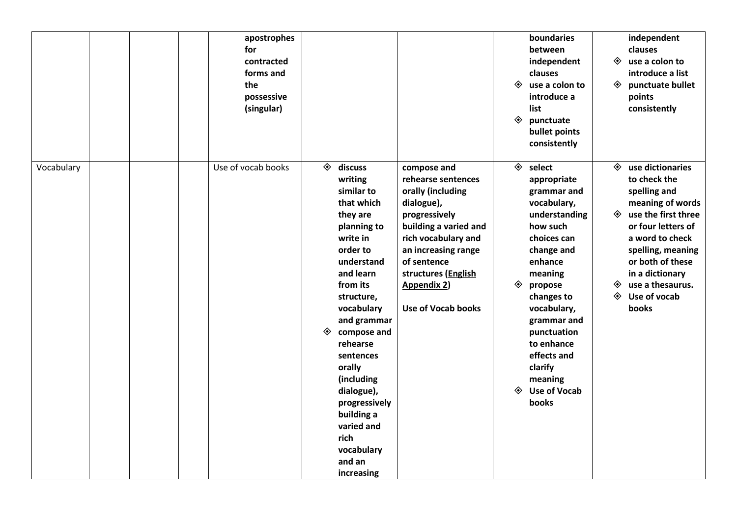|            |  | apostrophes<br>for<br>contracted<br>forms and<br>the<br>possessive<br>(singular) |        |                                                                                                                                                                                                                                                                                                                                                              |                                                                                                                                                                                                                                                | ◈<br>◈ | boundaries<br>between<br>independent<br>clauses<br>use a colon to<br>introduce a<br>list<br>punctuate<br>bullet points<br>consistently                                                                                                                                                                         | ◈<br>◈      | independent<br>clauses<br>use a colon to<br>introduce a list<br>punctuate bullet<br>points<br>consistently                                                                                                                                                      |
|------------|--|----------------------------------------------------------------------------------|--------|--------------------------------------------------------------------------------------------------------------------------------------------------------------------------------------------------------------------------------------------------------------------------------------------------------------------------------------------------------------|------------------------------------------------------------------------------------------------------------------------------------------------------------------------------------------------------------------------------------------------|--------|----------------------------------------------------------------------------------------------------------------------------------------------------------------------------------------------------------------------------------------------------------------------------------------------------------------|-------------|-----------------------------------------------------------------------------------------------------------------------------------------------------------------------------------------------------------------------------------------------------------------|
| Vocabulary |  | Use of vocab books                                                               | ◈<br>◈ | discuss<br>writing<br>similar to<br>that which<br>they are<br>planning to<br>write in<br>order to<br>understand<br>and learn<br>from its<br>structure,<br>vocabulary<br>and grammar<br>compose and<br>rehearse<br>sentences<br>orally<br>(including<br>dialogue),<br>progressively<br>building a<br>varied and<br>rich<br>vocabulary<br>and an<br>increasing | compose and<br>rehearse sentences<br>orally (including<br>dialogue),<br>progressively<br>building a varied and<br>rich vocabulary and<br>an increasing range<br>of sentence<br>structures (English<br><b>Appendix 2)</b><br>Use of Vocab books | ◈<br>◈ | $\Leftrightarrow$ select<br>appropriate<br>grammar and<br>vocabulary,<br>understanding<br>how such<br>choices can<br>change and<br>enhance<br>meaning<br>propose<br>changes to<br>vocabulary,<br>grammar and<br>punctuation<br>to enhance<br>effects and<br>clarify<br>meaning<br><b>Use of Vocab</b><br>books | ◈<br>◈<br>◈ | $\Leftrightarrow$ use dictionaries<br>to check the<br>spelling and<br>meaning of words<br>use the first three<br>or four letters of<br>a word to check<br>spelling, meaning<br>or both of these<br>in a dictionary<br>use a thesaurus.<br>Use of vocab<br>books |